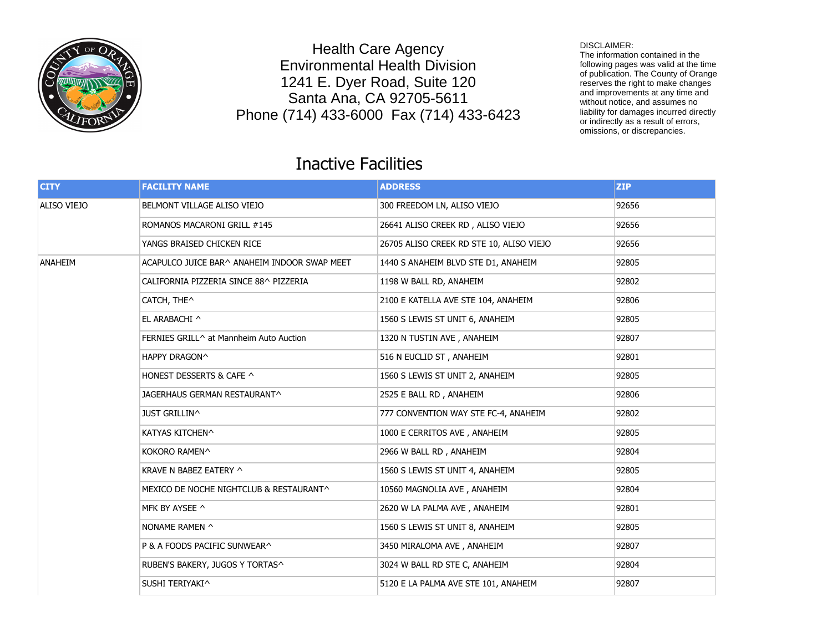

Health Care Agency Environmental Health Division 1241 E. Dyer Road, Suite 120 Santa Ana, CA 92705-5611 Phone (714) 433-6000 Fax (714) 433-6423

## DISCLAIMER:

The information contained in the following pages was valid at the time of publication. The County of Orange reserves the right to make changes and improvements at any time and without notice, and assumes no liability for damages incurred directly or indirectly as a result of errors, omissions, or discrepancies.

## Inactive Facilities

| <b>CITY</b> | <b>FACILITY NAME</b>                         | <b>ADDRESS</b>                           | <b>ZIP</b> |
|-------------|----------------------------------------------|------------------------------------------|------------|
| ALISO VIEJO | BELMONT VILLAGE ALISO VIEJO                  | 300 FREEDOM LN, ALISO VIEJO              | 92656      |
|             | ROMANOS MACARONI GRILL #145                  | 26641 ALISO CREEK RD, ALISO VIEJO        | 92656      |
|             | YANGS BRAISED CHICKEN RICE                   | 26705 ALISO CREEK RD STE 10, ALISO VIEJO | 92656      |
| ANAHEIM     | ACAPULCO JUICE BAR^ ANAHEIM INDOOR SWAP MEET | 1440 S ANAHEIM BLVD STE D1, ANAHEIM      | 92805      |
|             | CALIFORNIA PIZZERIA SINCE 88^ PIZZERIA       | 1198 W BALL RD, ANAHEIM                  | 92802      |
|             | CATCH, THE^                                  | 2100 E KATELLA AVE STE 104, ANAHEIM      | 92806      |
|             | EL ARABACHI ^                                | 1560 S LEWIS ST UNIT 6, ANAHEIM          | 92805      |
|             | FERNIES GRILL^ at Mannheim Auto Auction      | 1320 N TUSTIN AVE, ANAHEIM               | 92807      |
|             | HAPPY DRAGON^                                | 516 N EUCLID ST, ANAHEIM                 | 92801      |
|             | HONEST DESSERTS & CAFE ^                     | 1560 S LEWIS ST UNIT 2, ANAHEIM          | 92805      |
|             | JAGERHAUS GERMAN RESTAURANT^                 | 2525 E BALL RD, ANAHEIM                  | 92806      |
|             | <b>JUST GRILLIN^</b>                         | 777 CONVENTION WAY STE FC-4, ANAHEIM     | 92802      |
|             | KATYAS KITCHEN^                              | 1000 E CERRITOS AVE, ANAHEIM             | 92805      |
|             | KOKORO RAMEN^                                | 2966 W BALL RD, ANAHEIM                  | 92804      |
|             | KRAVE N BABEZ EATERY ^                       | 1560 S LEWIS ST UNIT 4, ANAHEIM          | 92805      |
|             | MEXICO DE NOCHE NIGHTCLUB & RESTAURANT^      | 10560 MAGNOLIA AVE, ANAHEIM              | 92804      |
|             | MFK BY AYSEE ^                               | 2620 W LA PALMA AVE, ANAHEIM             | 92801      |
|             | NONAME RAMEN ^                               | 1560 S LEWIS ST UNIT 8, ANAHEIM          | 92805      |
|             | P & A FOODS PACIFIC SUNWEAR^                 | 3450 MIRALOMA AVE, ANAHEIM               | 92807      |
|             | RUBEN'S BAKERY, JUGOS Y TORTAS^              | 3024 W BALL RD STE C, ANAHEIM            | 92804      |
|             | SUSHI TERIYAKI^                              | 5120 E LA PALMA AVE STE 101, ANAHEIM     | 92807      |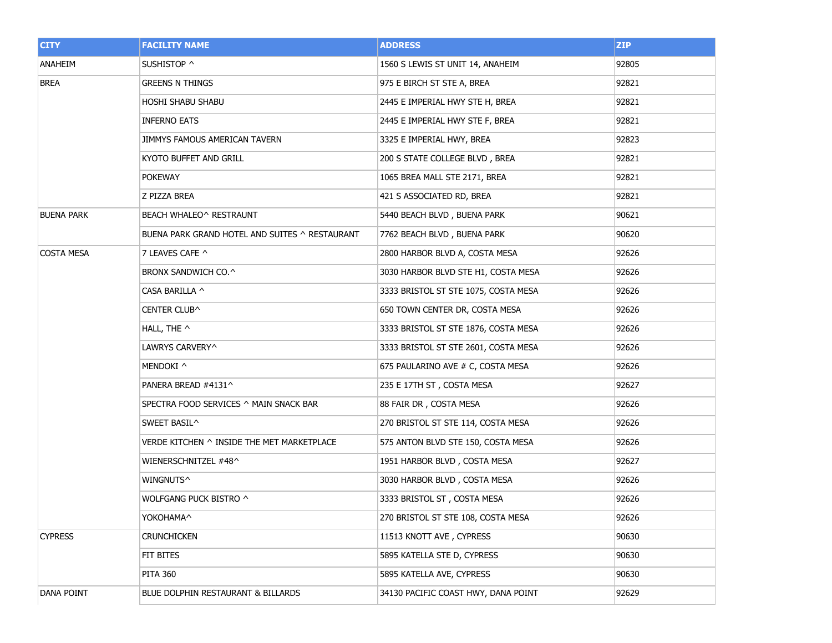| <b>CITY</b>       | <b>FACILITY NAME</b>                           | <b>ADDRESS</b>                       | ZIP   |
|-------------------|------------------------------------------------|--------------------------------------|-------|
| ANAHEIM           | SUSHISTOP ^                                    | 1560 S LEWIS ST UNIT 14, ANAHEIM     | 92805 |
| <b>BREA</b>       | <b>GREENS N THINGS</b>                         | 975 E BIRCH ST STE A, BREA           | 92821 |
|                   | HOSHI SHABU SHABU                              | 2445 E IMPERIAL HWY STE H, BREA      | 92821 |
|                   | <b>INFERNO EATS</b>                            | 2445 E IMPERIAL HWY STE F, BREA      | 92821 |
|                   | JIMMYS FAMOUS AMERICAN TAVERN                  | 3325 E IMPERIAL HWY, BREA            | 92823 |
|                   | KYOTO BUFFET AND GRILL                         | 200 S STATE COLLEGE BLVD, BREA       | 92821 |
|                   | <b>POKEWAY</b>                                 | 1065 BREA MALL STE 2171, BREA        | 92821 |
|                   | Z PIZZA BREA                                   | 421 S ASSOCIATED RD, BREA            | 92821 |
| <b>BUENA PARK</b> | BEACH WHALEO^ RESTRAUNT                        | 5440 BEACH BLVD, BUENA PARK          | 90621 |
|                   | BUENA PARK GRAND HOTEL AND SUITES ^ RESTAURANT | 7762 BEACH BLVD, BUENA PARK          | 90620 |
| <b>COSTA MESA</b> | 7 LEAVES CAFE ^                                | 2800 HARBOR BLVD A, COSTA MESA       | 92626 |
|                   | BRONX SANDWICH CO.^                            | 3030 HARBOR BLVD STE H1, COSTA MESA  | 92626 |
|                   | CASA BARILLA ^                                 | 3333 BRISTOL ST STE 1075, COSTA MESA | 92626 |
|                   | CENTER CLUB^                                   | 650 TOWN CENTER DR, COSTA MESA       | 92626 |
|                   | HALL, THE ^                                    | 3333 BRISTOL ST STE 1876, COSTA MESA | 92626 |
|                   | LAWRYS CARVERY^                                | 3333 BRISTOL ST STE 2601, COSTA MESA | 92626 |
|                   | MENDOKI ^                                      | 675 PAULARINO AVE # C, COSTA MESA    | 92626 |
|                   | PANERA BREAD #4131^                            | 235 E 17TH ST, COSTA MESA            | 92627 |
|                   | SPECTRA FOOD SERVICES ^ MAIN SNACK BAR         | 88 FAIR DR, COSTA MESA               | 92626 |
|                   | SWEET BASIL^                                   | 270 BRISTOL ST STE 114, COSTA MESA   | 92626 |
|                   | VERDE KITCHEN ^ INSIDE THE MET MARKETPLACE     | 575 ANTON BLVD STE 150, COSTA MESA   | 92626 |
|                   | WIENERSCHNITZEL #48^                           | 1951 HARBOR BLVD, COSTA MESA         | 92627 |
|                   | Wingnuts^                                      | 3030 HARBOR BLVD, COSTA MESA         | 92626 |
|                   | WOLFGANG PUCK BISTRO ^                         | 3333 BRISTOL ST, COSTA MESA          | 92626 |
|                   | YOKOHAMA^                                      | 270 BRISTOL ST STE 108, COSTA MESA   | 92626 |
| <b>CYPRESS</b>    | <b>CRUNCHICKEN</b>                             | 11513 KNOTT AVE, CYPRESS             | 90630 |
|                   | FIT BITES                                      | 5895 KATELLA STE D, CYPRESS          | 90630 |
|                   | <b>PITA 360</b>                                | 5895 KATELLA AVE, CYPRESS            | 90630 |
| DANA POINT        | BLUE DOLPHIN RESTAURANT & BILLARDS             | 34130 PACIFIC COAST HWY, DANA POINT  | 92629 |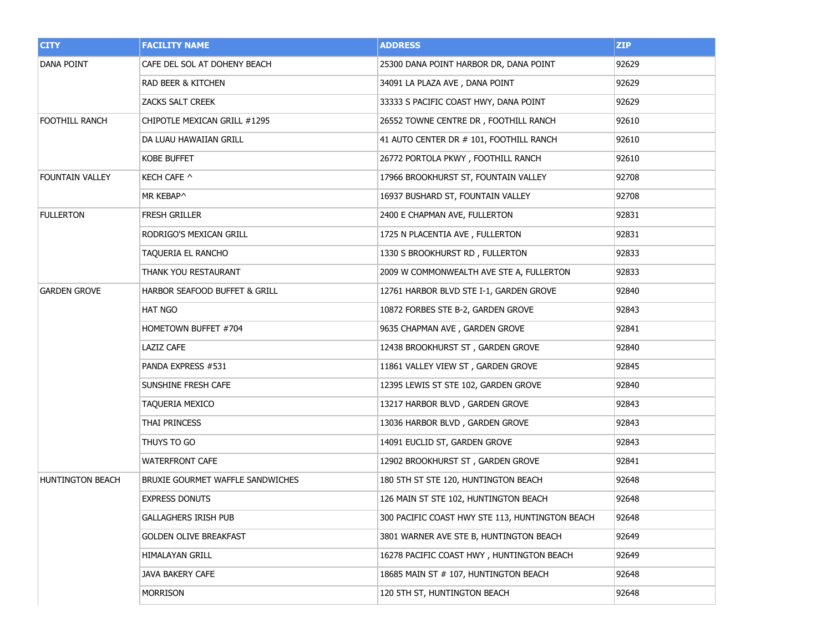| <b>CITY</b>             | <b>FACILITY NAME</b>             | <b>ADDRESS</b>                                  | <b>ZIP</b> |
|-------------------------|----------------------------------|-------------------------------------------------|------------|
| <b>DANA POINT</b>       | CAFE DEL SOL AT DOHENY BEACH     | 25300 DANA POINT HARBOR DR, DANA POINT          | 92629      |
|                         | RAD BEER & KITCHEN               | 34091 LA PLAZA AVE, DANA POINT                  | 92629      |
|                         | ZACKS SALT CREEK                 | 33333 S PACIFIC COAST HWY, DANA POINT           | 92629      |
| <b>FOOTHILL RANCH</b>   | CHIPOTLE MEXICAN GRILL #1295     | 26552 TOWNE CENTRE DR, FOOTHILL RANCH           | 92610      |
|                         | DA LUAU HAWAIIAN GRILL           | 41 AUTO CENTER DR # 101, FOOTHILL RANCH         | 92610      |
|                         | <b>KOBE BUFFET</b>               | 26772 PORTOLA PKWY, FOOTHILL RANCH              | 92610      |
| <b>FOUNTAIN VALLEY</b>  | KECH CAFE ^                      | 17966 BROOKHURST ST, FOUNTAIN VALLEY            | 92708      |
|                         | MR KEBAP^                        | 16937 BUSHARD ST, FOUNTAIN VALLEY               | 92708      |
| <b>FULLERTON</b>        | <b>FRESH GRILLER</b>             | 2400 E CHAPMAN AVE, FULLERTON                   | 92831      |
|                         | RODRIGO'S MEXICAN GRILL          | 1725 N PLACENTIA AVE, FULLERTON                 | 92831      |
|                         | TAQUERIA EL RANCHO               | 1330 S BROOKHURST RD, FULLERTON                 | 92833      |
|                         | THANK YOU RESTAURANT             | 2009 W COMMONWEALTH AVE STE A, FULLERTON        | 92833      |
| <b>GARDEN GROVE</b>     | HARBOR SEAFOOD BUFFET & GRILL    | 12761 HARBOR BLVD STE I-1, GARDEN GROVE         | 92840      |
|                         | <b>HAT NGO</b>                   | 10872 FORBES STE B-2, GARDEN GROVE              | 92843      |
|                         | HOMETOWN BUFFET #704             | 9635 CHAPMAN AVE, GARDEN GROVE                  | 92841      |
|                         | LAZIZ CAFE                       | 12438 BROOKHURST ST, GARDEN GROVE               | 92840      |
|                         | PANDA EXPRESS #531               | 11861 VALLEY VIEW ST, GARDEN GROVE              | 92845      |
|                         | SUNSHINE FRESH CAFE              | 12395 LEWIS ST STE 102, GARDEN GROVE            | 92840      |
|                         | TAQUERIA MEXICO                  | 13217 HARBOR BLVD, GARDEN GROVE                 | 92843      |
|                         | THAI PRINCESS                    | 13036 HARBOR BLVD, GARDEN GROVE                 | 92843      |
|                         | THUYS TO GO                      | 14091 EUCLID ST, GARDEN GROVE                   | 92843      |
|                         | <b>WATERFRONT CAFE</b>           | 12902 BROOKHURST ST, GARDEN GROVE               | 92841      |
| <b>HUNTINGTON BEACH</b> | BRUXIE GOURMET WAFFLE SANDWICHES | 180 5TH ST STE 120, HUNTINGTON BEACH            | 92648      |
|                         | <b>EXPRESS DONUTS</b>            | 126 MAIN ST STE 102, HUNTINGTON BEACH           | 92648      |
|                         | <b>GALLAGHERS IRISH PUB</b>      | 300 PACIFIC COAST HWY STE 113, HUNTINGTON BEACH | 92648      |
|                         | <b>GOLDEN OLIVE BREAKFAST</b>    | 3801 WARNER AVE STE B, HUNTINGTON BEACH         | 92649      |
|                         | <b>HIMALAYAN GRILL</b>           | 16278 PACIFIC COAST HWY, HUNTINGTON BEACH       | 92649      |
|                         | JAVA BAKERY CAFE                 | 18685 MAIN ST # 107, HUNTINGTON BEACH           | 92648      |
|                         | <b>MORRISON</b>                  | 120 5TH ST, HUNTINGTON BEACH                    | 92648      |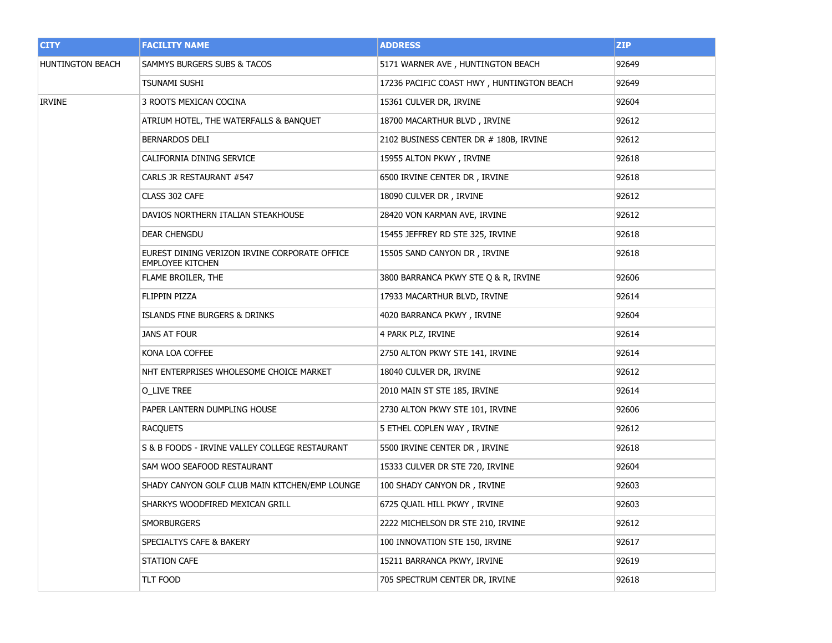| <b>CITY</b>      | <b>FACILITY NAME</b>                                                     | <b>ADDRESS</b>                            | <b>ZIP</b> |
|------------------|--------------------------------------------------------------------------|-------------------------------------------|------------|
| HUNTINGTON BEACH | SAMMYS BURGERS SUBS & TACOS                                              | 5171 WARNER AVE, HUNTINGTON BEACH         | 92649      |
|                  | TSUNAMI SUSHI                                                            | 17236 PACIFIC COAST HWY, HUNTINGTON BEACH | 92649      |
| <b>IRVINE</b>    | 3 ROOTS MEXICAN COCINA                                                   | 15361 CULVER DR, IRVINE                   | 92604      |
|                  | ATRIUM HOTEL, THE WATERFALLS & BANQUET                                   | 18700 MACARTHUR BLVD, IRVINE              | 92612      |
|                  | BERNARDOS DELI                                                           | 2102 BUSINESS CENTER DR # 180B, IRVINE    | 92612      |
|                  | CALIFORNIA DINING SERVICE                                                | 15955 ALTON PKWY, IRVINE                  | 92618      |
|                  | CARLS JR RESTAURANT #547                                                 | 6500 IRVINE CENTER DR, IRVINE             | 92618      |
|                  | CLASS 302 CAFE                                                           | 18090 CULVER DR, IRVINE                   | 92612      |
|                  | DAVIOS NORTHERN ITALIAN STEAKHOUSE                                       | 28420 VON KARMAN AVE, IRVINE              | 92612      |
|                  | DEAR CHENGDU                                                             | 15455 JEFFREY RD STE 325, IRVINE          | 92618      |
|                  | EUREST DINING VERIZON IRVINE CORPORATE OFFICE<br><b>EMPLOYEE KITCHEN</b> | 15505 SAND CANYON DR, IRVINE              | 92618      |
|                  | FLAME BROILER, THE                                                       | 3800 BARRANCA PKWY STE O & R, IRVINE      | 92606      |
|                  | FLIPPIN PIZZA                                                            | 17933 MACARTHUR BLVD, IRVINE              | 92614      |
|                  | ISLANDS FINE BURGERS & DRINKS                                            | 4020 BARRANCA PKWY, IRVINE                | 92604      |
|                  | JANS AT FOUR                                                             | 4 PARK PLZ, IRVINE                        | 92614      |
|                  | KONA LOA COFFEE                                                          | 2750 ALTON PKWY STE 141, IRVINE           | 92614      |
|                  | NHT ENTERPRISES WHOLESOME CHOICE MARKET                                  | 18040 CULVER DR, IRVINE                   | 92612      |
|                  | <b>O_LIVE TREE</b>                                                       | 2010 MAIN ST STE 185, IRVINE              | 92614      |
|                  | PAPER LANTERN DUMPLING HOUSE                                             | 2730 ALTON PKWY STE 101, IRVINE           | 92606      |
|                  | <b>RACQUETS</b>                                                          | 5 ETHEL COPLEN WAY, IRVINE                | 92612      |
|                  | S & B FOODS - IRVINE VALLEY COLLEGE RESTAURANT                           | 5500 IRVINE CENTER DR, IRVINE             | 92618      |
|                  | SAM WOO SEAFOOD RESTAURANT                                               | 15333 CULVER DR STE 720, IRVINE           | 92604      |
|                  | SHADY CANYON GOLF CLUB MAIN KITCHEN/EMP LOUNGE                           | 100 SHADY CANYON DR, IRVINE               | 92603      |
|                  | SHARKYS WOODFIRED MEXICAN GRILL                                          | 6725 QUAIL HILL PKWY, IRVINE              | 92603      |
|                  | <b>SMORBURGERS</b>                                                       | 2222 MICHELSON DR STE 210, IRVINE         | 92612      |
|                  | SPECIALTYS CAFE & BAKERY                                                 | 100 INNOVATION STE 150, IRVINE            | 92617      |
|                  | STATION CAFE                                                             | 15211 BARRANCA PKWY, IRVINE               | 92619      |
|                  | TLT FOOD                                                                 | 705 SPECTRUM CENTER DR, IRVINE            | 92618      |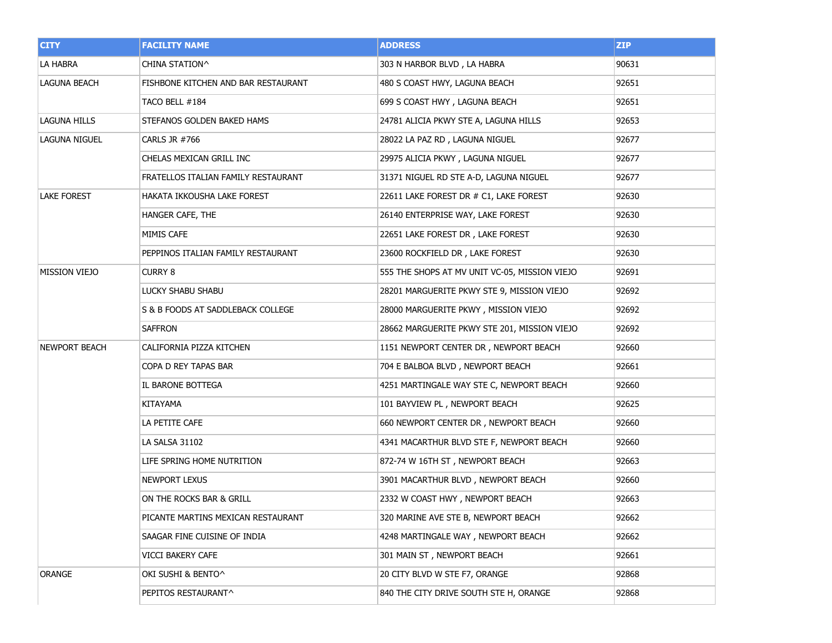| <b>CITY</b>          | <b>FACILITY NAME</b>                | <b>ADDRESS</b>                                | <b>ZIP</b> |
|----------------------|-------------------------------------|-----------------------------------------------|------------|
| LA HABRA             | CHINA STATION^                      | 303 N HARBOR BLVD, LA HABRA                   | 90631      |
| <b>LAGUNA BEACH</b>  | FISHBONE KITCHEN AND BAR RESTAURANT | 480 S COAST HWY, LAGUNA BEACH                 | 92651      |
|                      | TACO BELL #184                      | 699 S COAST HWY, LAGUNA BEACH                 | 92651      |
| LAGUNA HILLS         | STEFANOS GOLDEN BAKED HAMS          | 24781 ALICIA PKWY STE A, LAGUNA HILLS         | 92653      |
| <b>LAGUNA NIGUEL</b> | CARLS JR #766                       | 28022 LA PAZ RD, LAGUNA NIGUEL                | 92677      |
|                      | CHELAS MEXICAN GRILL INC            | 29975 ALICIA PKWY, LAGUNA NIGUEL              | 92677      |
|                      | FRATELLOS ITALIAN FAMILY RESTAURANT | 31371 NIGUEL RD STE A-D, LAGUNA NIGUEL        | 92677      |
| <b>LAKE FOREST</b>   | HAKATA IKKOUSHA LAKE FOREST         | 22611 LAKE FOREST DR # C1, LAKE FOREST        | 92630      |
|                      | HANGER CAFE, THE                    | 26140 ENTERPRISE WAY, LAKE FOREST             | 92630      |
|                      | MIMIS CAFE                          | 22651 LAKE FOREST DR, LAKE FOREST             | 92630      |
|                      | PEPPINOS ITALIAN FAMILY RESTAURANT  | 23600 ROCKFIELD DR, LAKE FOREST               | 92630      |
| <b>MISSION VIEJO</b> | <b>CURRY 8</b>                      | 555 THE SHOPS AT MV UNIT VC-05, MISSION VIEJO | 92691      |
|                      | LUCKY SHABU SHABU                   | 28201 MARGUERITE PKWY STE 9, MISSION VIEJO    | 92692      |
|                      | S & B FOODS AT SADDLEBACK COLLEGE   | 28000 MARGUERITE PKWY, MISSION VIEJO          | 92692      |
|                      | <b>SAFFRON</b>                      | 28662 MARGUERITE PKWY STE 201, MISSION VIEJO  | 92692      |
| <b>NEWPORT BEACH</b> | CALIFORNIA PIZZA KITCHEN            | 1151 NEWPORT CENTER DR, NEWPORT BEACH         | 92660      |
|                      | COPA D REY TAPAS BAR                | 704 E BALBOA BLVD, NEWPORT BEACH              | 92661      |
|                      | IL BARONE BOTTEGA                   | 4251 MARTINGALE WAY STE C, NEWPORT BEACH      | 92660      |
|                      | KITAYAMA                            | 101 BAYVIEW PL, NEWPORT BEACH                 | 92625      |
|                      | LA PETITE CAFE                      | 660 NEWPORT CENTER DR, NEWPORT BEACH          | 92660      |
|                      | LA SALSA 31102                      | 4341 MACARTHUR BLVD STE F, NEWPORT BEACH      | 92660      |
|                      | LIFE SPRING HOME NUTRITION          | 872-74 W 16TH ST, NEWPORT BEACH               | 92663      |
|                      | <b>NEWPORT LEXUS</b>                | 3901 MACARTHUR BLVD, NEWPORT BEACH            | 92660      |
|                      | ON THE ROCKS BAR & GRILL            | 2332 W COAST HWY, NEWPORT BEACH               | 92663      |
|                      | PICANTE MARTINS MEXICAN RESTAURANT  | 320 MARINE AVE STE B, NEWPORT BEACH           | 92662      |
|                      | SAAGAR FINE CUISINE OF INDIA        | 4248 MARTINGALE WAY, NEWPORT BEACH            | 92662      |
|                      | VICCI BAKERY CAFE                   | 301 MAIN ST, NEWPORT BEACH                    | 92661      |
| ORANGE               | OKI SUSHI & BENTO^                  | 20 CITY BLVD W STE F7, ORANGE                 | 92868      |
|                      | PEPITOS RESTAURANT^                 | 840 THE CITY DRIVE SOUTH STE H, ORANGE        | 92868      |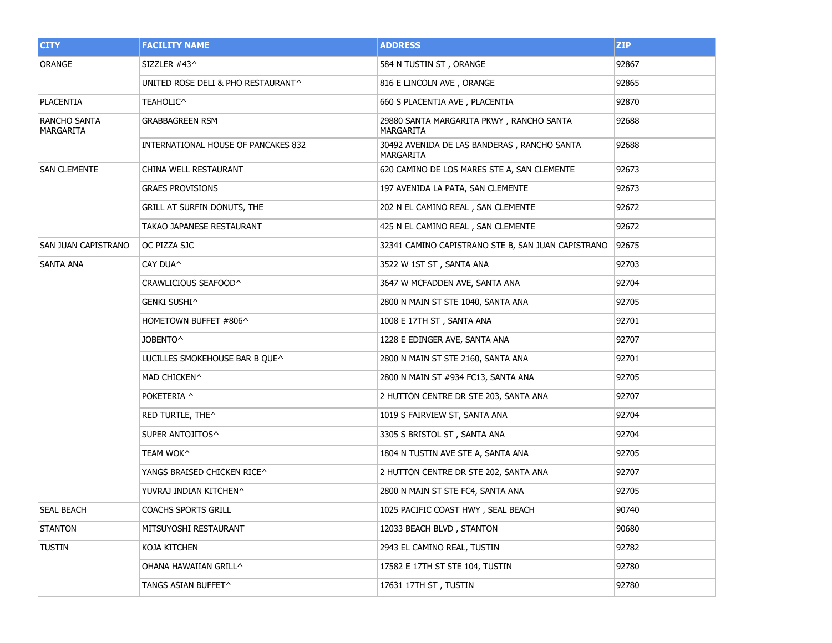| <b>CITY</b>               | <b>FACILITY NAME</b>                | <b>ADDRESS</b>                                           | ZIP   |
|---------------------------|-------------------------------------|----------------------------------------------------------|-------|
| ORANGE                    | SIZZLER #43^                        | 584 N TUSTIN ST, ORANGE                                  | 92867 |
|                           | UNITED ROSE DELI & PHO RESTAURANT^  | 816 E LINCOLN AVE, ORANGE                                | 92865 |
| <b>PLACENTIA</b>          | TEAHOLIC^                           | 660 S PLACENTIA AVE, PLACENTIA                           | 92870 |
| RANCHO SANTA<br>MARGARITA | <b>GRABBAGREEN RSM</b>              | 29880 SANTA MARGARITA PKWY, RANCHO SANTA<br>MARGARITA    | 92688 |
|                           | INTERNATIONAL HOUSE OF PANCAKES 832 | 30492 AVENIDA DE LAS BANDERAS, RANCHO SANTA<br>MARGARITA | 92688 |
| <b>SAN CLEMENTE</b>       | CHINA WELL RESTAURANT               | 620 CAMINO DE LOS MARES STE A, SAN CLEMENTE              | 92673 |
|                           | <b>GRAES PROVISIONS</b>             | 197 AVENIDA LA PATA, SAN CLEMENTE                        | 92673 |
|                           | GRILL AT SURFIN DONUTS, THE         | 202 N EL CAMINO REAL, SAN CLEMENTE                       | 92672 |
|                           | TAKAO JAPANESE RESTAURANT           | 425 N EL CAMINO REAL, SAN CLEMENTE                       | 92672 |
| SAN JUAN CAPISTRANO       | OC PIZZA SJC                        | 32341 CAMINO CAPISTRANO STE B, SAN JUAN CAPISTRANO       | 92675 |
| SANTA ANA                 | CAY DUA^                            | 3522 W 1ST ST, SANTA ANA                                 | 92703 |
|                           | CRAWLICIOUS SEAFOOD^                | 3647 W MCFADDEN AVE, SANTA ANA                           | 92704 |
|                           | GENKI SUSHI^                        | 2800 N MAIN ST STE 1040, SANTA ANA                       | 92705 |
|                           | HOMETOWN BUFFET #806^               | 1008 E 17TH ST, SANTA ANA                                | 92701 |
|                           | JOBENTO^                            | 1228 E EDINGER AVE, SANTA ANA                            | 92707 |
|                           | LUCILLES SMOKEHOUSE BAR B QUE^      | 2800 N MAIN ST STE 2160, SANTA ANA                       | 92701 |
|                           | MAD CHICKEN^                        | 2800 N MAIN ST #934 FC13, SANTA ANA                      | 92705 |
|                           | POKETERIA ^                         | 2 HUTTON CENTRE DR STE 203, SANTA ANA                    | 92707 |
|                           | RED TURTLE, THE^                    | 1019 S FAIRVIEW ST, SANTA ANA                            | 92704 |
|                           | SUPER ANTOJITOS^                    | 3305 S BRISTOL ST, SANTA ANA                             | 92704 |
|                           | TEAM WOK^                           | 1804 N TUSTIN AVE STE A, SANTA ANA                       | 92705 |
|                           | YANGS BRAISED CHICKEN RICE^         | 2 HUTTON CENTRE DR STE 202, SANTA ANA                    | 92707 |
|                           | YUVRAJ INDIAN KITCHEN^              | 2800 N MAIN ST STE FC4, SANTA ANA                        | 92705 |
| SEAL BEACH                | <b>COACHS SPORTS GRILL</b>          | 1025 PACIFIC COAST HWY, SEAL BEACH                       | 90740 |
| <b>STANTON</b>            | MITSUYOSHI RESTAURANT               | 12033 BEACH BLVD, STANTON                                | 90680 |
| <b>TUSTIN</b>             | KOJA KITCHEN                        | 2943 EL CAMINO REAL, TUSTIN                              | 92782 |
|                           | OHANA HAWAIIAN GRILL^               | 17582 E 17TH ST STE 104, TUSTIN                          | 92780 |
|                           | TANGS ASIAN BUFFET^                 | 17631 17TH ST, TUSTIN                                    | 92780 |